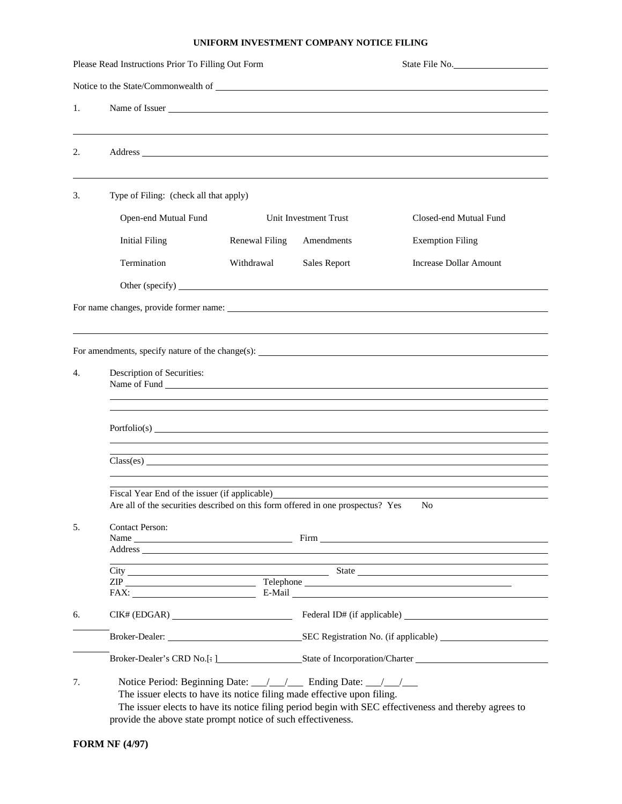## **UNIFORM INVESTMENT COMPANY NOTICE FILING**

|    | Please Read Instructions Prior To Filling Out Form                                                                                                                                                                                                                                                                  | State File No. |                                                 |                                                     |  |  |  |  |
|----|---------------------------------------------------------------------------------------------------------------------------------------------------------------------------------------------------------------------------------------------------------------------------------------------------------------------|----------------|-------------------------------------------------|-----------------------------------------------------|--|--|--|--|
|    |                                                                                                                                                                                                                                                                                                                     |                |                                                 |                                                     |  |  |  |  |
| 1. |                                                                                                                                                                                                                                                                                                                     |                |                                                 |                                                     |  |  |  |  |
| 2. |                                                                                                                                                                                                                                                                                                                     |                |                                                 |                                                     |  |  |  |  |
| 3. | Type of Filing: (check all that apply)                                                                                                                                                                                                                                                                              |                |                                                 |                                                     |  |  |  |  |
|    | Open-end Mutual Fund                                                                                                                                                                                                                                                                                                |                | Unit Investment Trust<br>Closed-end Mutual Fund |                                                     |  |  |  |  |
|    | <b>Initial Filing</b>                                                                                                                                                                                                                                                                                               | Renewal Filing | Amendments                                      | <b>Exemption Filing</b>                             |  |  |  |  |
|    | Termination                                                                                                                                                                                                                                                                                                         | Withdrawal     | Sales Report                                    | <b>Increase Dollar Amount</b>                       |  |  |  |  |
|    |                                                                                                                                                                                                                                                                                                                     |                |                                                 |                                                     |  |  |  |  |
|    |                                                                                                                                                                                                                                                                                                                     |                |                                                 |                                                     |  |  |  |  |
|    |                                                                                                                                                                                                                                                                                                                     |                |                                                 |                                                     |  |  |  |  |
|    |                                                                                                                                                                                                                                                                                                                     |                |                                                 |                                                     |  |  |  |  |
| 4. | Description of Securities:                                                                                                                                                                                                                                                                                          |                |                                                 |                                                     |  |  |  |  |
|    |                                                                                                                                                                                                                                                                                                                     |                |                                                 |                                                     |  |  |  |  |
|    |                                                                                                                                                                                                                                                                                                                     |                |                                                 |                                                     |  |  |  |  |
|    | ,我们也不会有什么。""我们的人,我们也不会有什么?""我们的人,我们也不会有什么?""我们的人,我们也不会有什么?""我们的人,我们也不会有什么?""我们的人                                                                                                                                                                                                                                    |                |                                                 |                                                     |  |  |  |  |
|    |                                                                                                                                                                                                                                                                                                                     |                |                                                 |                                                     |  |  |  |  |
|    | Fiscal Year End of the issuer (if applicable)<br>Are all of the securities described on this form offered in one prospectus? Yes<br>N <sub>0</sub>                                                                                                                                                                  |                |                                                 |                                                     |  |  |  |  |
| 5. | <b>Contact Person:</b>                                                                                                                                                                                                                                                                                              |                |                                                 |                                                     |  |  |  |  |
|    |                                                                                                                                                                                                                                                                                                                     |                |                                                 |                                                     |  |  |  |  |
|    | the control of the control of the control of the control of the control of the control of the control of the control of the control of the control of the control of the control of the control of the control of the control                                                                                       |                |                                                 |                                                     |  |  |  |  |
|    | ZIP Telephone Telephone<br>FAX: E-Mail E-Mail E-Mail E-Mail E-Mail E-Mail E-Mail E-Mail E-Mail E-Mail E-Mail E-Mail E-Mail E-Mail E-Mail E-Mail E-Mail E-Mail E-Mail E-Mail E-Mail E-Mail E-Mail E-Mail E-Mail E-Mail E-Mail E-Mail E-Mail E-Mail E-Mail                                                            |                |                                                 |                                                     |  |  |  |  |
| 6. |                                                                                                                                                                                                                                                                                                                     |                |                                                 |                                                     |  |  |  |  |
|    |                                                                                                                                                                                                                                                                                                                     |                |                                                 | Broker-Dealer: SEC Registration No. (if applicable) |  |  |  |  |
|    |                                                                                                                                                                                                                                                                                                                     |                |                                                 |                                                     |  |  |  |  |
|    |                                                                                                                                                                                                                                                                                                                     |                |                                                 |                                                     |  |  |  |  |
| 7. | Notice Period: Beginning Date: __/__/___ Ending Date: __/__/___<br>The issuer elects to have its notice filing made effective upon filing.<br>The issuer elects to have its notice filing period begin with SEC effectiveness and thereby agrees to<br>provide the above state prompt notice of such effectiveness. |                |                                                 |                                                     |  |  |  |  |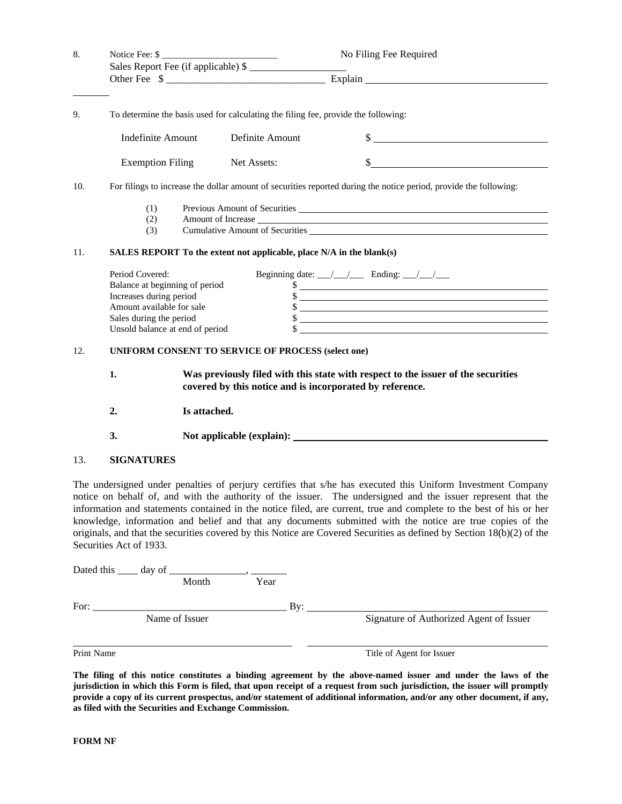| 8.  | Notice Fee: \$                                                                                                                                                          |                                                                                                                                               |                 | No Filing Fee Required                                                                                                                                                                                                                                                                                              |  |  |
|-----|-------------------------------------------------------------------------------------------------------------------------------------------------------------------------|-----------------------------------------------------------------------------------------------------------------------------------------------|-----------------|---------------------------------------------------------------------------------------------------------------------------------------------------------------------------------------------------------------------------------------------------------------------------------------------------------------------|--|--|
|     |                                                                                                                                                                         |                                                                                                                                               |                 |                                                                                                                                                                                                                                                                                                                     |  |  |
|     |                                                                                                                                                                         |                                                                                                                                               |                 |                                                                                                                                                                                                                                                                                                                     |  |  |
| 9.  | To determine the basis used for calculating the filing fee, provide the following:                                                                                      |                                                                                                                                               |                 |                                                                                                                                                                                                                                                                                                                     |  |  |
|     | <b>Indefinite Amount</b>                                                                                                                                                |                                                                                                                                               | Definite Amount | $\frac{1}{2}$                                                                                                                                                                                                                                                                                                       |  |  |
|     | <b>Exemption Filing</b>                                                                                                                                                 |                                                                                                                                               | Net Assets:     | $\frac{1}{2}$ $\frac{1}{2}$ $\frac{1}{2}$ $\frac{1}{2}$ $\frac{1}{2}$ $\frac{1}{2}$ $\frac{1}{2}$ $\frac{1}{2}$ $\frac{1}{2}$ $\frac{1}{2}$ $\frac{1}{2}$ $\frac{1}{2}$ $\frac{1}{2}$ $\frac{1}{2}$ $\frac{1}{2}$ $\frac{1}{2}$ $\frac{1}{2}$ $\frac{1}{2}$ $\frac{1}{2}$ $\frac{1}{2}$ $\frac{1}{2}$ $\frac{1}{2}$ |  |  |
| 10. | For filings to increase the dollar amount of securities reported during the notice period, provide the following:                                                       |                                                                                                                                               |                 |                                                                                                                                                                                                                                                                                                                     |  |  |
|     | (1)<br>(2)<br>(3)                                                                                                                                                       | Cumulative Amount of Securities New York Cumulative Amount of Securities                                                                      |                 |                                                                                                                                                                                                                                                                                                                     |  |  |
| 11. | SALES REPORT To the extent not applicable, place N/A in the blank(s)                                                                                                    |                                                                                                                                               |                 |                                                                                                                                                                                                                                                                                                                     |  |  |
|     | Period Covered:<br>Balance at beginning of period<br>Increases during period<br>Amount available for sale<br>Sales during the period<br>Unsold balance at end of period |                                                                                                                                               |                 | Beginning date: $\angle$ / $\angle$ Ending: $\angle$ / $\angle$<br>$\frac{1}{2}$<br>$\frac{1}{2}$<br>$\frac{1}{2}$<br>$\frac{1}{2}$                                                                                                                                                                                 |  |  |
| 12. | <b>UNIFORM CONSENT TO SERVICE OF PROCESS (select one)</b>                                                                                                               |                                                                                                                                               |                 |                                                                                                                                                                                                                                                                                                                     |  |  |
|     | 1.                                                                                                                                                                      | Was previously filed with this state with respect to the issuer of the securities<br>covered by this notice and is incorporated by reference. |                 |                                                                                                                                                                                                                                                                                                                     |  |  |
|     | 2.                                                                                                                                                                      | Is attached.                                                                                                                                  |                 |                                                                                                                                                                                                                                                                                                                     |  |  |
|     | 3.                                                                                                                                                                      |                                                                                                                                               |                 |                                                                                                                                                                                                                                                                                                                     |  |  |
| 13. | <b>SIGNATURES</b>                                                                                                                                                       |                                                                                                                                               |                 |                                                                                                                                                                                                                                                                                                                     |  |  |
|     |                                                                                                                                                                         |                                                                                                                                               |                 | The undersigned under penalties of periury certifies that s/he has executed this Uniform Investment Company                                                                                                                                                                                                         |  |  |

The undersigned under penalties of perjury certifies that s/he has executed this Uniform Investment Company notice on behalf of, and with the authority of the issuer. The undersigned and the issuer represent that the information and statements contained in the notice filed, are current, true and complete to the best of his or her knowledge, information and belief and that any documents submitted with the notice are true copies of the originals, and that the securities covered by this Notice are Covered Securities as defined by Section 18(b)(2) of the Securities Act of 1933.

|            | Month          | Year |                                         |
|------------|----------------|------|-----------------------------------------|
| For:       |                | Bv:  |                                         |
|            | Name of Issuer |      | Signature of Authorized Agent of Issuer |
|            |                |      |                                         |
| Print Name |                |      | Title of Agent for Issuer               |

**The filing of this notice constitutes a binding agreement by the above-named issuer and under the laws of the jurisdiction in which this Form is filed, that upon receipt of a request from such jurisdiction, the issuer will promptly provide a copy of its current prospectus, and/or statement of additional information, and/or any other document, if any, as filed with the Securities and Exchange Commission.**